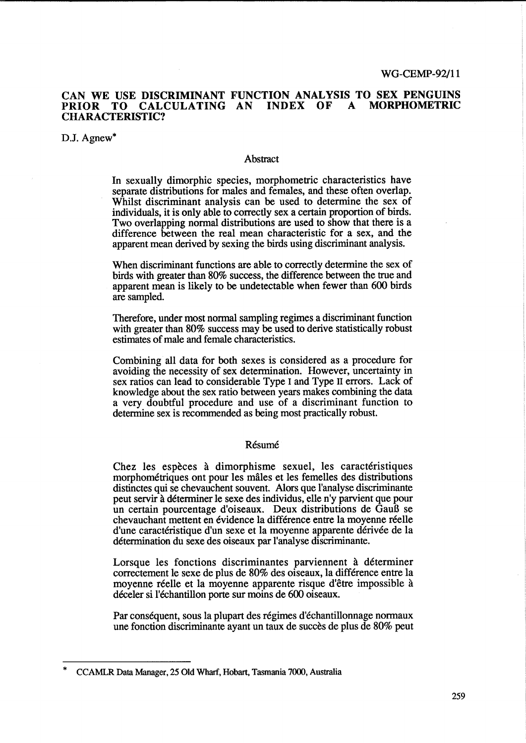# CAN WE USE DISCRIMINANT FUNCTION ANALYSIS TO SEX PENGUINS<br>PRIOR TO CALCULATING AN INDEX OF A MORPHOMETRIC PRIOR TO CALCULATING AN CHARACTERISTIC?

D.J. Agnew\*

### Abstract

In sexually dimorphic species, morphometric characteristics have separate distributions for males and females, and these often overlap. Whilst discriminant analysis can be used to determine the sex of individuals, it is only able to correctly sex a certain proportion of birds. Two overlapping normal distributions are used to show that there is a difference between the real mean characteristic for a sex, and the apparent mean derived by sexing the birds using discriminant analysis.

When discriminant functions are able to correctly determine the sex of birds with greater than 80% success, the difference between the true and apparent mean is likely to be undetectable when fewer than 600 birds are sampled.

Therefore, under most normal sampling regimes a discriminant function with greater than 80% success may be used to derive statistically robust estimates of male and female characteristics.

Combining all data for both sexes is considered as a procedure for avoiding the necessity of sex determination. However, uncertainty in sex ratios can lead to considerable Type I and Type II errors. Lack of knowledge about the sex ratio between years makes combining the data a very doubtful procedure and use of a discriminant function to determine sex is recommended as being most practically robust.

#### Résumé

Chez les espèces à dimorphisme sexuel, les caractéristiques morphometriques ont pour les males et les femelles des distributions distinctes qui se chevauchent souvent. Alors que l'analyse discriminante peut servir a determiner le sexe des individus, e1le n'y parvient que pour un certain pourcentage d'oiseaux. Deux distributions de GauS se chevauchant mettent en évidence la différence entre la moyenne réelle d'une caractéristique d'un sexe et la moyenne apparente dérivée de la determination du sexe des oiseaux par l'analyse discriminante.

Lorsque les fonctions discriminantes parviennent à déterminer correctement le sexe de plus de 80% des oiseaux, la difference entre la moyenne réelle et la moyenne apparente risque d'être impossible à deceler si l'echantillon porte sur moins de 600 oiseaux.

Par conséquent, sous la plupart des régimes d'échantillonnage normaux une fonction discriminante ayant un taux de succes de plus de 80% peut

<sup>\*</sup> CCAMLR Data Manager, 25 Old Wharf, Hobart, Tasmania 7000, Australia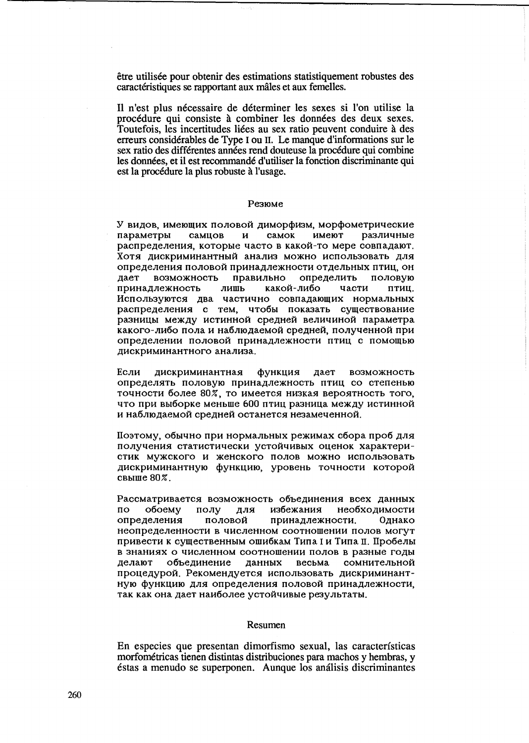être utilisée pour obtenir des estimations statistiquement robustes des caractéristiques se rapportant aux mâles et aux femelles.

Il n'est plus nécessaire de déterminer les sexes si l'on utilise la procédure qui consiste à combiner les données des deux sexes. Toutefois, les incertitudes liées au sex ratio peuvent conduire à des erreurs considérables de Type I ou II. Le manque d'informations sur le sex ratio des différentes années rend douteuse la procédure qui combine les données, et il est recommandé d'utiliser la fonction discriminante qui est la procédure la plus robuste à l'usage.

#### Резюме

У видов, имеющих половой диморфизм, морфометрические параметры самцов  $\mathbf{u}$ самок имеют различные распределения, которые часто в какой-то мере совпадают. Хотя дискриминантный анализ можно использовать для определения половой принадлежности отдельных птиц, он дает возможность правильно определить половую лишь принадлежность какой-либо части птиц. Используются два частично совпадающих нормальных распределения с тем, чтобы показать существование разницы между истинной средней величиной параметра какого-либо пола и наблюдаемой средней, полученной при определении половой принадлежности птиц с помощью дискриминантного анализа.

функция Если дискриминантная дает возможность определять половую принадлежность птиц со степенью точности более 80%, то имеется низкая вероятность того, что при выборке меньше 600 птиц разница между истинной и наблюдаемой средней останется незамеченной.

Поэтому, обычно при нормальных режимах сбора проб для получения статистически устойчивых оценок характеристик мужского и женского полов можно использовать дискриминантную функцию, уровень точности которой свыше 80%.

Рассматривается возможность объединения всех данных обоему полу лля избежания необходимости  $\overline{10}$ определения половой принадлежности. Олнако неопределенности в численном соотношении полов могут привести к существенным ошибкам Типа I и Типа II. Пробелы в знаниях о численном соотношении полов в разные годы делают объединение данных весьма сомнительной процедурой. Рекомендуется использовать дискриминантную функцию для определения половой принадлежности. так как она дает наиболее устойчивые результаты.

### Resumen

En especies que presentan dimorfismo sexual, las características morfométricas tienen distintas distribuciones para machos y hembras, y éstas a menudo se superponen. Aunque los análisis discriminantes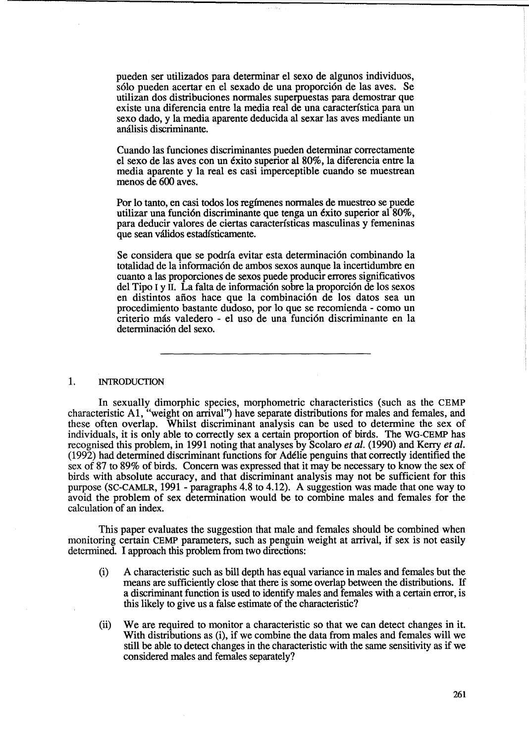pueden ser utilizados para detenninar el sexo de algunos individuos, sólo pueden acertar en el sexado de una proporción de las aves. Se utilizan dos distribuciones nonnales superpuestas para demostrar que existe una diferencia entre la media real de una caracterfstica para un sexo dado, y la media aparente deducida al sexar las aves mediante un análisis discriminante.

 $\mathcal{L}_{\mathcal{C}}$  .

Cuando las funciones discriminantes pueden determinar correctamente el sexo de las aves con un exito superior al 80%, la diferencia entre la media aparente y la real es casi imperceptible cuando se muestrean menos de 600 aves.

Por 10 tanto, en casi todos los regfmenes nonnales de muestreo se puede utilizar una función discriminante que tenga un éxito superior al  $80\%$ , para deducir valores de ciertas caracterfsticas masculinas y femeninas que sean vaIidos estadisticamente.

Se considera que se podría evitar esta determinación combinando la totalidad de la infonnaci6n de ambos sexos aunque la incertidumbre en cuanto a las proporciones de sexos puede producir errores significativos del Tipo I y  $\overline{\text{II}}$ . La falta de información sobre la proporción de los sexos en distintos años hace que la combinación de los datos sea un procedimiento bastante dudoso, por 10 que se recomienda - como un criterio más valedero - el uso de una función discriminante en la determinación del sexo.

#### 1. INTRODUCTION

In sexually dimorphic species, morphometric characteristics (such as the CEMP characteristic AI, "weight on arrival") have separate distributions for males and females, and these often overlap. Whilst discriminant analysis can be used to detennine the sex of individuals, it is only able to correctly sex a certain proportion of birds. The WG-CEMP has recognised this problem, in 1991 noting that analyses by Scolaro *et al.* (1990) and Kerry *et al.*  (1992) had determined discriminant functions for Adelie penguins that correctly identified the sex of 87 to 89% of birds. Concern was expressed that it may be necessary to know the sex of birds with absolute accuracy, and that discriminant analysis may not be sufficient for this purpose (SC-CAMLR, 1991 - paragraphs 4.8 to 4.12). A suggestion was made that one way to avoid the problem of sex detennination would be to combine males and females for the calculation of an index.

This paper evaluates the suggestion that male and females should be combined when monitoring certain CEMP parameters, such as penguin weight at arrival, if sex is not easily determined. I approach this problem from two directions:

- (i) A characteristic such as bill depth has equal variance in males and females but the means are sufficiently close that there is some overlap between the distributions. If a discriminant function is used to identify males and females with a certain error, is this likely to give us a false estimate of the characteristic?
- (ii) We are required to monitor a characteristic so that we can detect changes in it. With distributions as (i), if we combine the data from males and females will we still be able to detect changes in the characteristic with the same sensitivity as if we considered males and females separately?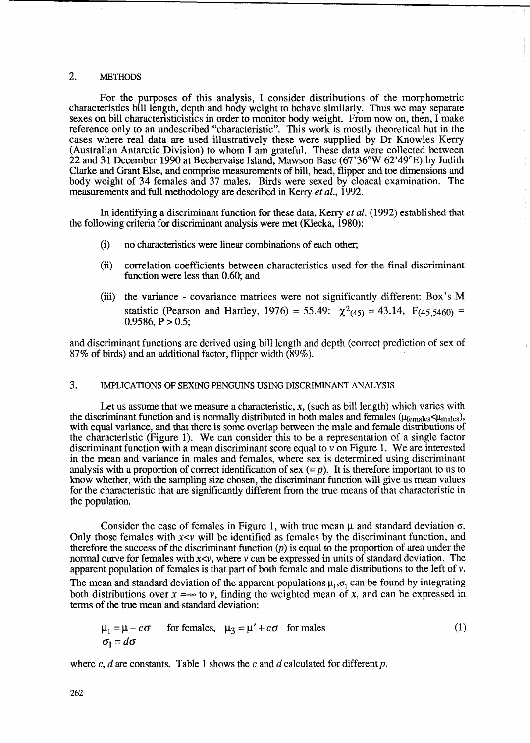# 2. METHODS

For the purposes of this analysis, I consider distributions of the morphometric characteristics bill length, depth and body weight to behave similarly. Thus we may separate sexes on bill characteristicistics in order to monitor body weight. From now on, then, I make reference only to an undescribed "characteristic". This work is mostly theoretical but in the cases where real data are used illustratively these were supplied by Dr Knowles Kerry (Australian Antarctic Division) to whom I am grateful. These data were collected between 22 and 31 December 1990 at Bechervaise Island, Mawson Base (67'36°W 62'49°E) by Judith Clarke and Grant Else, and comprise measurements of bill, head, flipper and toe dimensions and body weight of 34 females and 37 males. Birds were sexed by cloacal examination. The measurements and full methodology are described in Kerry *et al., 1992.* 

In identifying a discriminant function for these data, Kerry *et al.* (1992) established that the following criteria for discriminant analysis were met (Klecka, 1980):

- (i) no characteristics were linear combinations of each other;
- (ii) correlation coefficients between characteristics used for the final discriminant function were less than 0.60; and
- (iii) the variance covariance matrices were not significantly different: Box's M statistic (Pearson and Hartley, 1976) = 55.49:  $\chi^2_{(45)}$  = 43.14, F<sub>(45.5460)</sub> =  $0.9586, P > 0.5$ ;

and discriminant functions are derived using bill length and depth (correct prediction of sex of 87% of birds) and an additional factor, flipper width (89%).

# 3. IMPLICATIONS OF SEXING PENGUINS USING DISCRIMINANT ANALYSIS

Let us assume that we measure a characteristic,  $x$ , (such as bill length) which varies with the discriminant function and is normally distributed in both males and females ( $\mu_{\text{females}}$ ), with equal variance, and that there is some overlap between the male and female distributions of the characteristic (Figure 1). We can consider this to be a representation of a single factor discriminant function with a mean discriminant score equal to  $v$  on Figure 1. We are interested in the mean and variance in males and females, where sex is determined using discriminant analysis with a proportion of correct identification of sex  $(= p)$ . It is therefore important to us to know whether, with the sampling size chosen, the discriminant function will give us mean values for the characteristic that are significantly different from the true means of that characteristic in the population.

Consider the case of females in Figure 1, with true mean  $\mu$  and standard deviation  $\sigma$ . Only those females with  $x \lt v$  will be identified as females by the discriminant function, and therefore the success of the discriminant function  $(p)$  is equal to the proportion of area under the normal curve for females with  $x \le v$ , where v can be expressed in units of standard deviation. The apparent population of females is that part of both female and male distributions to the left of v.

The mean and standard deviation of the apparent populations  $\mu_1$ ,  $\sigma_1$  can be found by integrating both distributions over  $x = -\infty$  to v, finding the weighted mean of x, and can be expressed in terms of the true mean and standard deviation:

$$
\mu_1 = \mu - c\sigma \quad \text{for females, } \mu_3 = \mu' + c\sigma \quad \text{for males}
$$
\n
$$
\sigma_1 = d\sigma \tag{1}
$$

where c, *d* are constants. Table 1 shows the c and *d* calculated for different p.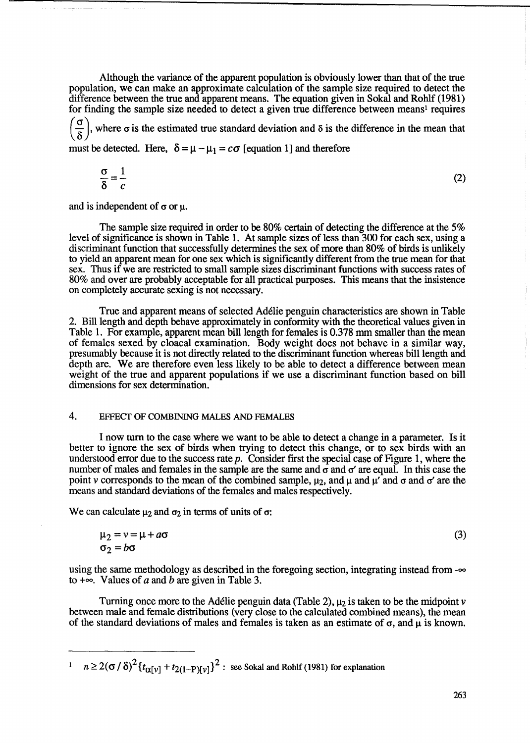Although the variance of the apparent population is obviously lower than that of the true population, we can make an approximate calculation of the sample size required to detect the difference between the true and apparent means. The equation given in Sokal and Rohlf (1981) for finding the sample size needed to detect a given true difference between means! requires

 $\left(\frac{\sigma}{\delta}\right)$ , where  $\sigma$  is the estimated true standard deviation and  $\delta$  is the difference in the mean that must be detected. Here,  $\delta = \mu - \mu_1 = c\sigma$  [equation 1] and therefore

$$
\frac{\sigma}{\delta} = \frac{1}{c} \tag{2}
$$

and is independent of  $\sigma$  or  $\mu$ .

The sample size required in order to be 80% certain of detecting the difference at the 5% level of significance is shown in Table 1. At sample sizes of less than 300 for each sex, using a discriminant function that successfully determines the sex of more than 80% of birds is unlikely to yield an apparent mean for one sex which is significantly different from the true mean for that sex. Thus if we are restricted to small sample sizes discriminant functions with success rates of 80% and over are probably acceptable for all practical purposes. This means that the insistence on completely accurate sexing is not necessary.

True and apparent means of selected Adelie penguin characteristics are shown in Table 2. Bill length and depth behave approximately in conformity with the theoretical values given in Table 1. For example, apparent mean bill length for females is 0.378 mm smaller than the mean of females sexed by c10acal examination. Body weight does not behave in a similar way, presumably because it is not directly related to the discriminant function whereas bill length and depth are. We are therefore even less likely to be able to detect a difference between mean weight of the true and apparent populations if we use a discriminant function based on bill dimensions for sex determination.

# 4. EFFECT OF COMBINING MALES AND FEMALES

I now turn to the case where we want to be able to detect a change in a parameter. Is it better to ignore the sex of birds when trying to detect this change, or to sex birds with an understood error due to the success rate  $p$ . Consider first the special case of Figure 1, where the number of males and females in the sample are the same and  $\sigma$  and  $\sigma'$  are equal. In this case the point v corresponds to the mean of the combined sample,  $\mu_2$ , and  $\mu$  and  $\mu'$  and  $\sigma'$  are the means and standard deviations of the females and males respectively.

We can calculate  $\mu_2$  and  $\sigma_2$  in terms of units of  $\sigma$ :

$$
\mu_2 = v = \mu + a\sigma \tag{3}
$$
\n
$$
\sigma_2 = b\sigma
$$

using the same methodology as described in the foregoing section, integrating instead from  $-\infty$ to  $+\infty$ . Values of *a* and *b* are given in Table 3.

Turning once more to the Adélie penguin data (Table 2),  $\mu_2$  is taken to be the midpoint v between male and female distributions (very close to the calculated combined means), the mean of the standard deviations of males and females is taken as an estimate of  $\sigma$ , and  $\mu$  is known.

<sup>1</sup>  $n \geq 2(\sigma/\delta)^2 \left\{ t_{\alpha[\nu]} + t_{2(1-P)[\nu]} \right\}^2$ : see Sokal and Rohlf (1981) for explanation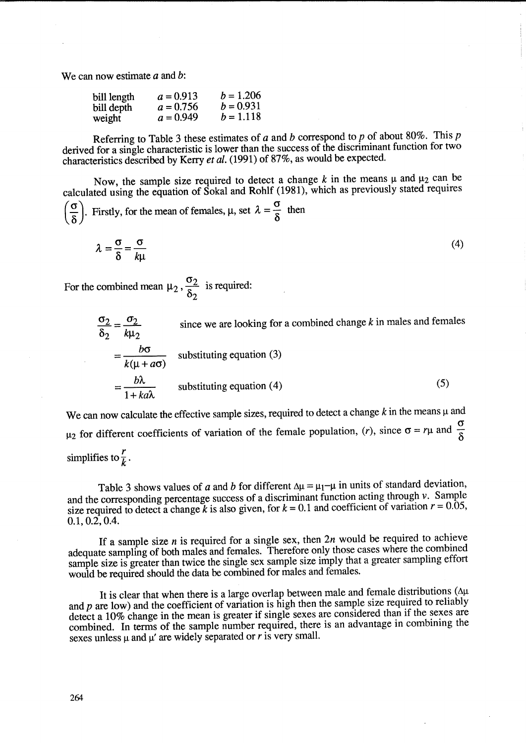We can now estimate *a* and b:

| bill length | $a = 0.913$ | $b = 1.206$ |
|-------------|-------------|-------------|
| bill depth  | $a = 0.756$ | $b = 0.931$ |
| weight      | $a = 0.949$ | $b = 1.118$ |

Referring to Table 3 these estimates of *a* and *b* correspond to p of about 80%. This p derived for a single characteristic is lower than the success of the discriminant function for two characteristics described by Kerry *et al.* (1991) of 87%, as would be expected.

Now, the sample size required to detect a change  $k$  in the means  $\mu$  and  $\mu_2$  can be calculated using the equation of Sokal and Rohlf (1981), which as previously stated requires  $\left(\frac{\sigma}{\delta}\right)$ . Firstly, for the mean of females,  $\mu$ , set  $\lambda = \frac{\sigma}{\delta}$  then

$$
\left(\frac{6}{\delta}\right)
$$
. Firstly, for the mean of females,  $\mu$ , set  $\lambda = \frac{3}{\delta}$  then  

$$
\lambda = \frac{3}{\delta} = \frac{3}{\mu}
$$
 (4)

$$
\lambda = \frac{0}{\delta} = \frac{0}{k\mu}
$$
 (4)

For the combined mean  $\mu_2$ ,  $\frac{\sigma_2}{\delta_2}$  is required:

$$
\frac{\sigma_2}{\delta_2} = \frac{\sigma_2}{k\mu_2}
$$
 since we are looking for a combined change *k* in males and females  

$$
= \frac{b\sigma}{k(\mu + a\sigma)}
$$
 substituting equation (3)  

$$
= \frac{b\lambda}{1 + ka\lambda}
$$
 substituting equation (4) (5)

We can now calculate the effective sample sizes, required to detect a change  $k$  in the means  $\mu$  and  $\mu_2$  for different coefficients of variation of the female population, (r), since  $\sigma = r\mu$  and  $\frac{\sigma}{\delta}$ simplifies to  $\frac{r}{k}$ .

Table 3 shows values of *a* and *b* for different  $\Delta \mu = \mu_1 - \mu$  in units of standard deviation, and the corresponding percentage success of a discriminant function acting through  $\nu$ . Sample size required to detect a change *k* is also given, for  $k = 0.1$  and coefficient of variation  $r = 0.05$ , 0.1,0.2,0.4.

If a sample size *n* is required for a single sex, then *2n* would be required to achieve adequate sampling of both males and females. Therefore only those cases where the combined sample size is greater than twice the single sex sample size imply that a greater sampling effort would be required should the data be combined for males and females.

It is clear that when there is a large overlap between male and female distributions ( $\Delta\mu$ ) and  $p$  are low) and the coefficient of variation is high then the sample size required to reliably detect a 10% change in the mean is greater if single sexes are considered than if the sexes are combined. In terms of the sample number required, there is an advantage in combining the sexes unless  $\mu$  and  $\mu'$  are widely separated or *r* is very small.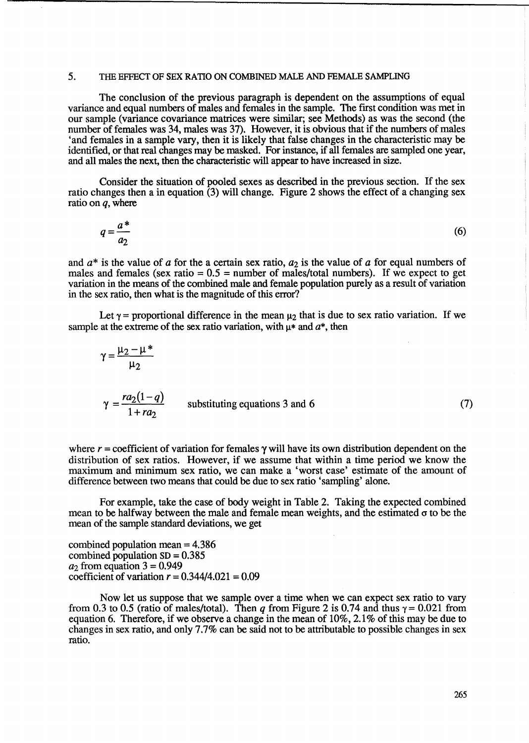### 5. THE EFFECT OF SEX RATIO ON COMBINED MALE AND FEMALE SAMPLING

The conclusion of the previous paragraph is dependent on the assumptions of equal variance and equal numbers of males and females in the sample. The first condition was met in our sample (variance covariance matrices were similar; see Methods) as was the second (the number of females was 34, males was 37). However, it is obvious that if the numbers of males 'and females in a sample vary, then it is likely that false changes in the characteristic may be identified, or that real changes may be masked. For instance, if all females are sampled one year, and all males the next, then the characteristic will appear to have increased in size.

Consider the situation of pooled sexes as described in the previous section. If the sex ratio changes then a in equation  $(3)$  will change. Figure 2 shows the effect of a changing sex ratio on *q,* where

$$
q = \frac{a^*}{a_2} \tag{6}
$$

and  $a^*$  is the value of *a* for the a certain sex ratio,  $a_2$  is the value of *a* for equal numbers of males and females (sex ratio  $= 0.5$  = number of males/total numbers). If we expect to get variation in the means of the combined male and female population purely as a result of variation in the sex ratio, then what is the magnitude of this error?

Let  $\gamma$  = proportional difference in the mean  $\mu_2$  that is due to sex ratio variation. If we sample at the extreme of the sex ratio variation, with  $u^*$  and  $a^*$ , then

$$
\gamma = \frac{\mu_2 - \mu^*}{\mu_2}
$$
  
\n
$$
\gamma = \frac{ra_2(1-q)}{1+ra_2}
$$
 substituting equations 3 and 6 (7)

where  $r =$  coefficient of variation for females  $\gamma$  will have its own distribution dependent on the distribution of sex ratios. However, if we assume that within a time period we know the maximum and minimum sex ratio, we can make a 'worst case' estimate of the amount of difference between two means that could be due to sex ratio 'sampling' alone.

For example, take the case of body weight in Table 2. Taking the expected combined mean to be halfway between the male and female mean weights, and the estimated  $\sigma$  to be the mean of the sample standard deviations, we get

combined population mean = 4.386 combined population  $SD = 0.385$  $a_2$  from equation  $3 = 0.949$ coefficient of variation  $r = 0.344/4.021 = 0.09$ 

Now let us suppose that we sample over a time when we can expect sex ratio to vary from 0.3 to 0.5 (ratio of males/total). Then  $q$  from Figure 2 is 0.74 and thus  $\gamma = 0.021$  from equation 6. Therefore, if we observe a change in the mean of 10%, 2.1% of this may be due to changes in sex ratio, and only 7.7% can be said not to be attributable to possible changes in sex ratio.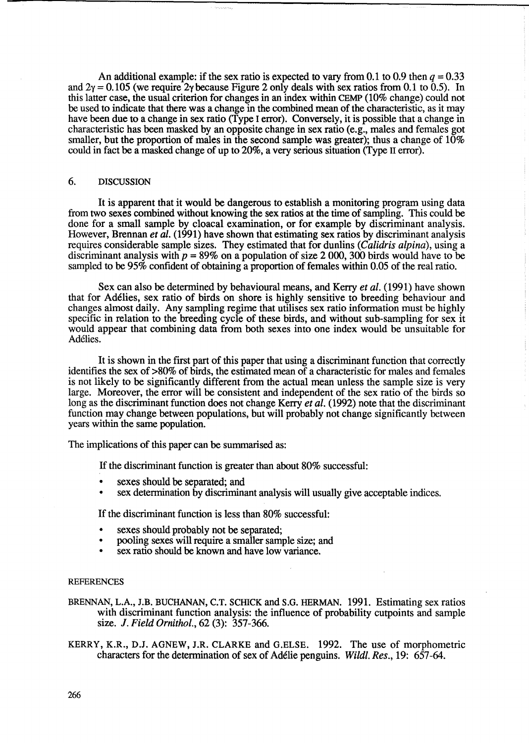An additional example: if the sex ratio is expected to vary from 0.1 to 0.9 then  $q = 0.33$ and  $2\gamma = 0.105$  (we require 2 $\gamma$  because Figure 2 only deals with sex ratios from 0.1 to 0.5). In this latter case, the usual criterion for changes in an index within CEMP (10% change) could not be used to indicate that there was a change in the combined mean of the characteristic, as it may have been due to a change in sex ratio (Type I error). Conversely, it is possible that a change in characteristic has been masked by an opposite change in sex ratio (e.g., males and females got smaller, but the proportion of males in the second sample was greater); thus a change of  $10\%$ could in fact be a masked change of up to 20%, a very serious situation (Type II error).

### 6. DISCUSSION

It is apparent that it would be dangerous to establish a monitoring program using data from two sexes combined without knowing the sex ratios at the time of sampling. This could be done for a small sample by cloacal examination, or for example by discriminant analysis. However, Brennan *et al.* (1991) have shown that estimating sex ratios by discriminant analysis requires considerable sample sizes. They estimated that for dunlins *(Calidris alpina),* using a discriminant analysis with  $p = 89\%$  on a population of size 2 000, 300 birds would have to be sampled to be 95% confident of obtaining a proportion of females within 0.05 of the real ratio.

Sex can also be determined by behavioural means, and Kerry *et al.* (1991) have shown that for Ad6lies, sex ratio of birds on shore is highly sensitive to breeding behaviour and changes almost daily. Any sampling regime that utilises sex ratio information must be highly specific in relation to the breeding cycle of these birds, and without sub-sampling for sex it would appear that combining data from both sexes into one index would be unsuitable for Ad6lies.

It is shown in the first part of this paper that using a discriminant function that correctly identifies the sex of >80% of birds, the estimated mean of a characteristic for males and females is not likely to be significantly different from the actual mean unless the sample size is very large. Moreover, the error will be consistent and independent of the sex ratio of the birds so long as the discriminant function does not change Kerry *et al.* (1992) note that the discriminant function may change between populations, but will probably not change significantly between years within the same population.

The implications of this paper can be summarised as:

If the discriminant function is greater than about 80% successful:

- sexes should be separated; and
- sex determination by discriminant analysis will usually give acceptable indices.

If the discriminant function is less than 80% successful:

- sexes should probably not be separated;
- pooling sexes will require a smaller sample size; and
- sex ratio should be known and have low variance.

### REFERENCES

- BRENNAN, L.A., J.B. BUCHANAN, C.T. SCHICK and S.G. HERMAN. 1991. Estimating sex ratios with discriminant function analysis: the influence of probability cutpoints and sample size. J. *Field Ornithol.,* 62 (3): 357-366.
- KERRY, K.R., D.J. AGNEW, J.R. CLARKE and G.ELSE. 1992. The use of morphometric characters for the determination of sex of Ad6lie penguins. *Wildl. Res.,* 19: 657-64.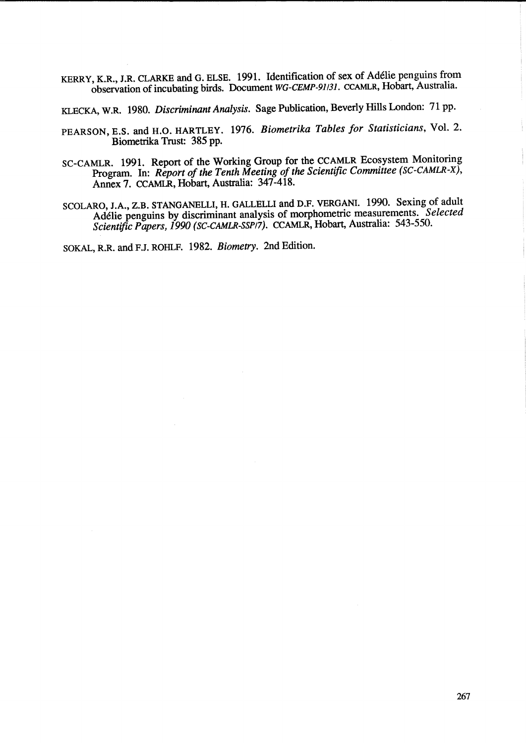KERRY, K.R., J.R. CLARKE and G. ELSE. 1991. Identification of sex of Ad6lie penguins from observation of incubating birds. Document *WG-CEMP-91/31.* CCAMLR, Hobart, Australia.

KLECKA, W.R. 1980. *Discriminant Analysis.* Sage Publication, Beverly Hills London: 71 pp.

- PEARSON, E.S. and H.O. HARTLEY. 1976. *Biometrika Tables for Statisticians,* Vol. 2. Biometrika Trust: 385 pp.
- SC-CAMLR. 1991. Report of the Working Group for the CCAMLR Ecosystem Monitoring Program. In: *Report of the Tenth Meeting of the Scientific Committee (SC-CAMLR-X),*  Annex 7. CCAMLR, Hobart, Australia: 347-418.
- SCOLARO, J.A., Z.B. STANGANELLI, H. GALLELLI and D.F. VERGANI. 1990. Sexing of adult Ad6lie penguins by discriminant analysis of morphometric measurements. *Selected*  Scientific Papers, 1990 (SC-CAMLR-SSP/7). CCAMLR, Hobart, Australia: 543-550.

SOKAL, R.R. and F.J. ROHLF. 1982. *Biometry.* 2nd Edition.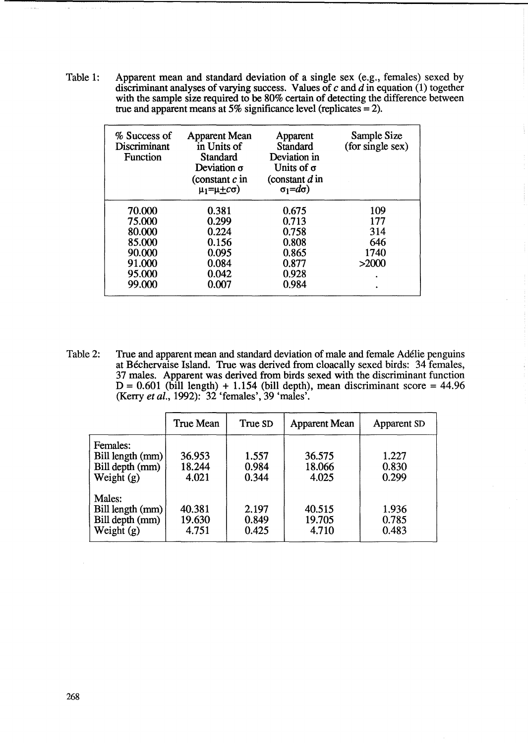Table 1: Apparent mean and standard deviation of a single sex (e.g., females) sexed by discriminant analyses of varying success. Values of *c* and d in equation (1) together with the sample size required to be 80% certain of detecting the difference between true and apparent means at 5% significance level (replicates  $= 2$ ).

| % Success of<br>Discriminant<br><b>Function</b> | <b>Apparent Mean</b><br>in Units of<br>Standard<br>Deviation $\sigma$<br>(constant $c$ in<br>$\mu_1 = \mu + c\sigma$ | Apparent<br>Standard<br>Deviation in<br>Units of $\sigma$<br>(constant $d$ in<br>$\sigma_1 = d\sigma$ ) | Sample Size<br>(for single sex) |
|-------------------------------------------------|----------------------------------------------------------------------------------------------------------------------|---------------------------------------------------------------------------------------------------------|---------------------------------|
| 70.000                                          | 0.381                                                                                                                | 0.675                                                                                                   | 109                             |
| 75.000                                          | 0.299                                                                                                                | 0.713                                                                                                   | 177                             |
| 80.000                                          | 0.224                                                                                                                | 0.758                                                                                                   | 314                             |
| 85.000                                          | 0.156                                                                                                                | 0.808                                                                                                   | 646                             |
| 90.000                                          | 0.095                                                                                                                | 0.865                                                                                                   | 1740                            |
| 91.000                                          | 0.084                                                                                                                | 0.877                                                                                                   | >2000                           |
| 95.000                                          | 0.042                                                                                                                | 0.928                                                                                                   | ٠                               |
| 99.000                                          | 0.007                                                                                                                | 0.984                                                                                                   |                                 |

Table 2: True and apparent mean and standard deviation of male and female Ad6lie penguins at Béchervaise Island. True was derived from cloacally sexed birds: 34 females, 37 males. Apparent was derived from birds sexed with the discriminant function  $D = 0.601$  (bill length) + 1.154 (bill depth), mean discriminant score = 44.96 (Kerry *et al.,* 1992): 32 'females', 39 'males'.

|                                                                 | <b>True Mean</b>          | True SD                 | <b>Apparent Mean</b>      | Apparent SD             |
|-----------------------------------------------------------------|---------------------------|-------------------------|---------------------------|-------------------------|
| Females:<br>Bill length (mm)<br>Bill depth (mm)<br>Weight $(g)$ | 36.953<br>18.244<br>4.021 | 1.557<br>0.984<br>0.344 | 36.575<br>18.066<br>4.025 | 1.227<br>0.830<br>0.299 |
| Males:<br>Bill length (mm)<br>Bill depth (mm)<br>Weight $(g)$   | 40.381<br>19.630<br>4.751 | 2.197<br>0.849<br>0.425 | 40.515<br>19.705<br>4.710 | 1.936<br>0.785<br>0.483 |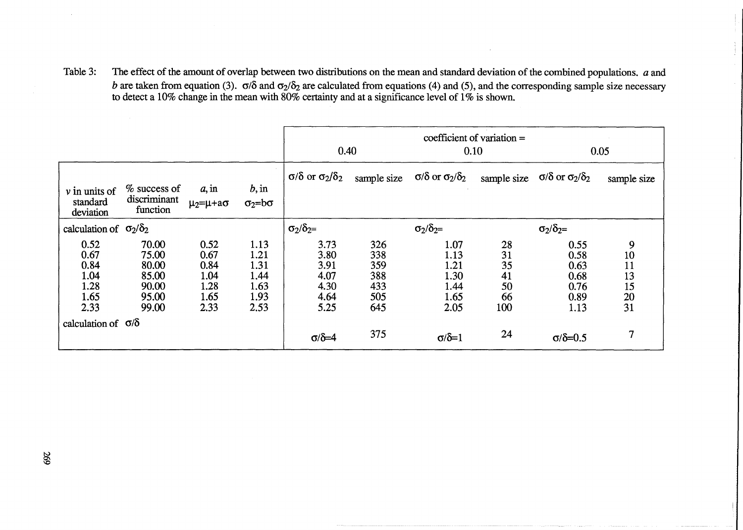Table 3: The effect of the amount of overlap between two distributions on the mean and standard deviation of the combined populations. *a* and b are taken from equation (3).  $\sigma/\delta$  and  $\sigma_2/\delta_2$  are calculated from equations (4) and (5), and the corresponding sample size necessary to detect a 10% change in the mean with 80% certainty and at a significance level of 1% is shown.

|                                                      |                                                             |                                                      |                                                      | 0.40                                                 |                                               | 0.10                                                 | coefficient of variation $=$            | 0.05                                                 |                                       |
|------------------------------------------------------|-------------------------------------------------------------|------------------------------------------------------|------------------------------------------------------|------------------------------------------------------|-----------------------------------------------|------------------------------------------------------|-----------------------------------------|------------------------------------------------------|---------------------------------------|
| $\nu$ in units of<br>standard<br>deviation           | $%$ success of<br>discriminant<br>function                  | a, in<br>$\mu_2 = \mu + a\sigma$                     | b, in<br>$\sigma_2 = b\sigma$                        | $\sigma/\delta$ or $\sigma_2/\delta_2$               | sample size                                   | $\sigma/\delta$ or $\sigma_2/\delta_2$               | sample size                             | $\sigma/\delta$ or $\sigma_2/\delta_2$               | sample size                           |
| calculation of $\sigma_2/\delta_2$                   |                                                             |                                                      |                                                      | $\sigma_2/\delta_2 =$                                |                                               | $\sigma_2/\delta_2 =$                                |                                         | $\sigma_2/\delta_2 =$                                |                                       |
| 0.52<br>0.67<br>0.84<br>1.04<br>1.28<br>1.65<br>2.33 | 70.00<br>75.00<br>80.00<br>85.00<br>90.00<br>95.00<br>99.00 | 0.52<br>0.67<br>0.84<br>1.04<br>1.28<br>1.65<br>2.33 | 1.13<br>1.21<br>1.31<br>1.44<br>1.63<br>1.93<br>2.53 | 3.73<br>3.80<br>3.91<br>4.07<br>4.30<br>4.64<br>5.25 | 326<br>338<br>359<br>388<br>433<br>505<br>645 | 1.07<br>1.13<br>1.21<br>1.30<br>1.44<br>1.65<br>2.05 | 28<br>31<br>35<br>41<br>50<br>66<br>100 | 0.55<br>0.58<br>0.63<br>0.68<br>0.76<br>0.89<br>1.13 | 9<br>10<br>11<br>13<br>15<br>20<br>31 |
| calculation of $\sigma/\delta$                       |                                                             |                                                      |                                                      | $\sigma/\delta = 4$                                  | 375                                           | $\sigma/\delta=1$                                    | 24                                      | $\sigma/\delta = 0.5$                                | $\overline{7}$                        |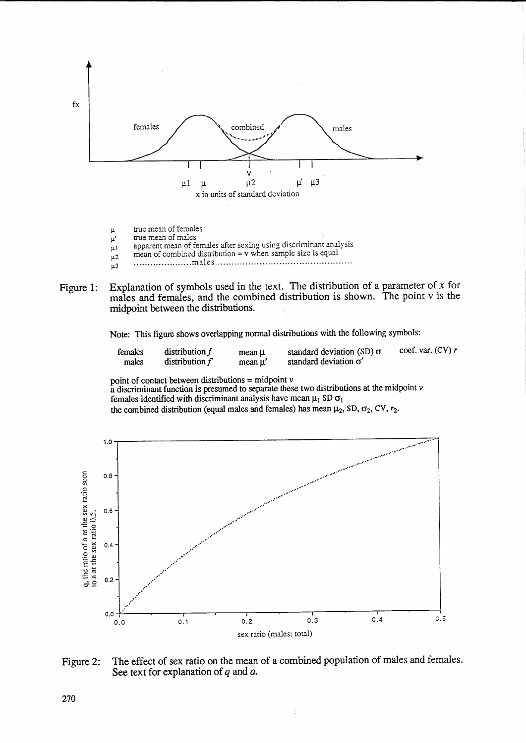

- true mean of females  $\mu$
- true mean of males  $\mu$
- apparent mean of females after sexing using discriminant analysis  $\mu$ 1  $mean of combined distribution = v$  when sample size is equal
- $\mu$ 2  $\mu$ 3
- Explanation of symbols used in the text. The distribution of a parameter of  $x$  for Figure 1: males and females, and the combined distribution is shown. The point  $\nu$  is the midpoint between the distributions.

Note: This figure shows overlapping normal distributions with the following symbols:

| females | distribution $f$ | mean µ | standard deviation (SD) $\sigma$ | coef, var. $(CV) r$ |
|---------|------------------|--------|----------------------------------|---------------------|
| males   | distribution $f$ | mean µ | standard deviation $\sigma'$     |                     |

point of contact between distributions = midpoint  $\nu$ <br>a discriminant function is presumed to separate these two distributions at the midpoint  $\nu$ females identified with discriminant analysis have mean  $\mu_1$  SD  $\sigma_1$ the combined distribution (equal males and females) has mean  $\mu_2$ , SD,  $\sigma_2$ , CV,  $r_2$ .



The effect of sex ratio on the mean of a combined population of males and females. Figure 2: See text for explanation of  $q$  and  $a$ .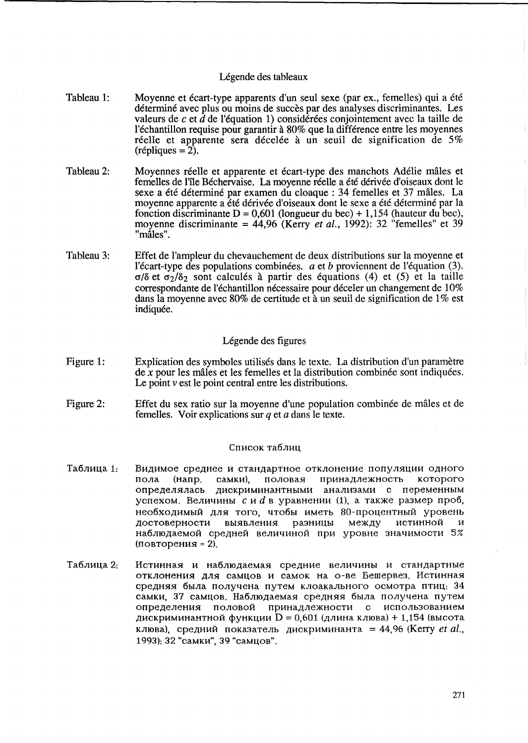# Légende des tableaux

- Tableau 1: Moyenne et écart-type apparents d'un seul sexe (par ex., femelles) qui a été déterminé avec plus ou moins de succès par des analyses discriminantes. Les valeurs de  $c$  et  $\hat{d}$  de l'équation 1) considérées conjointement avec la taille de l'echantillon requise pour garantir a 80% que la difference entre les moyennes réelle et apparente sera décelée à un seuil de signification de  $5\%$  $(r\acute{e}pliques = 2).$
- Tableau 2: Moyennes réelle et apparente et écart-type des manchots Adélie mâles et femelles de l'lle Bechervaise. La moyenne reelle a ete derivee d'oiseaux dont le sexe a été déterminé par examen du cloaque : 34 femelles et 37 mâles. La moyenne apparente a été dérivée d'oiseaux dont le sexe a été déterminé par la fonction discriminante  $D = 0.601$  (longueur du bec) + 1,154 (hauteur du bec), moyenne discriminante = 44,96 (Kerry *et al.*, 1992): 32 "femelles" et 39 "måles".
- Tableau 3: Effet de l'ampleur du chevauchement de deux distributions sur la moyenne et l'écart-type des populations combinées. *a* et *b* proviennent de l'équation (3).  $\sigma/\delta$  et  $\sigma_2/\delta_2$  sont calculés à partir des équations (4) et (5) et la taille correspondante de l'échantillon nécessaire pour déceler un changement de 10% dans la moyenne avec 80% de certitude et à un seuil de signification de 1% est indiquée.

# Légende des figures

- Figure 1: Explication des symboles utilises dans le texte. La distribution d'un parametre  $\frac{d}{dx}$  *x* pour les mâles et les femelles et la distribution combinée sont indiquées. Le point  $\nu$  est le point central entre les distributions.
- Figure 2: Effet du sex ratio sur la moyenne d'une population combinee de males et de femelles. Voir explications sur *q* et a dans le texte.

# Список таблиц

- Таблица 1: Видимое среднее и стандартное отклонение популяции одного пола (напр. самки), половая принадлежность которого определялась дискриминантными анализами с переменным успехом. Величины с и  $d$  в уравнении (1), а также размер проб, необходимый для того, чтобы иметь 80-процентный уровень достоверности выявления разницы между истинной и наблюдаемой средней величиной при уровне значимости 5%  $($ повторения = 2).
- Таблица 2: Истинная и наблюдаемая средние величины и стандартные отклонения для самцов и самок на о-ве Бешервез. Истинная средняя была получена путем клоакального осмотра птиц. 34 самки, 37 самцов. Наблюдаемая средняя была получена путем определения половой принадлежности с использованием дискриминантной функции  $D = 0,601$  (длина клюва) + 1,154 (высота клюва), средний показатель дискриминанта = 44,96 (Kerry *et al.*, 1993): 32 "самки", 39 "самцов".